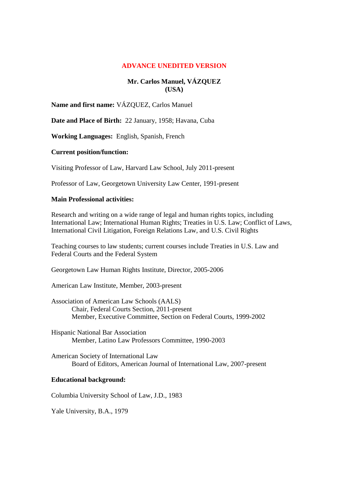# **ADVANCE UNEDITED VERSION**

# **Mr. Carlos Manuel, VÁZQUEZ (USA)**

**Name and first name:** VÁZQUEZ, Carlos Manuel

**Date and Place of Birth:** 22 January, 1958; Havana, Cuba

**Working Languages:** English, Spanish, French

### **Current position/function:**

Visiting Professor of Law, Harvard Law School, July 2011-present

Professor of Law, Georgetown University Law Center, 1991-present

### **Main Professional activities:**

Research and writing on a wide range of legal and human rights topics, including International Law; International Human Rights; Treaties in U.S. Law; Conflict of Laws, International Civil Litigation, Foreign Relations Law, and U.S. Civil Rights

Teaching courses to law students; current courses include Treaties in U.S. Law and Federal Courts and the Federal System

Georgetown Law Human Rights Institute, Director, 2005-2006

American Law Institute, Member, 2003-present

- Association of American Law Schools (AALS) Chair, Federal Courts Section, 2011-present Member, Executive Committee, Section on Federal Courts, 1999-2002
- Hispanic National Bar Association Member, Latino Law Professors Committee, 1990-2003

American Society of International Law Board of Editors, American Journal of International Law, 2007-present

#### **Educational background:**

Columbia University School of Law, J.D., 1983

Yale University, B.A., 1979